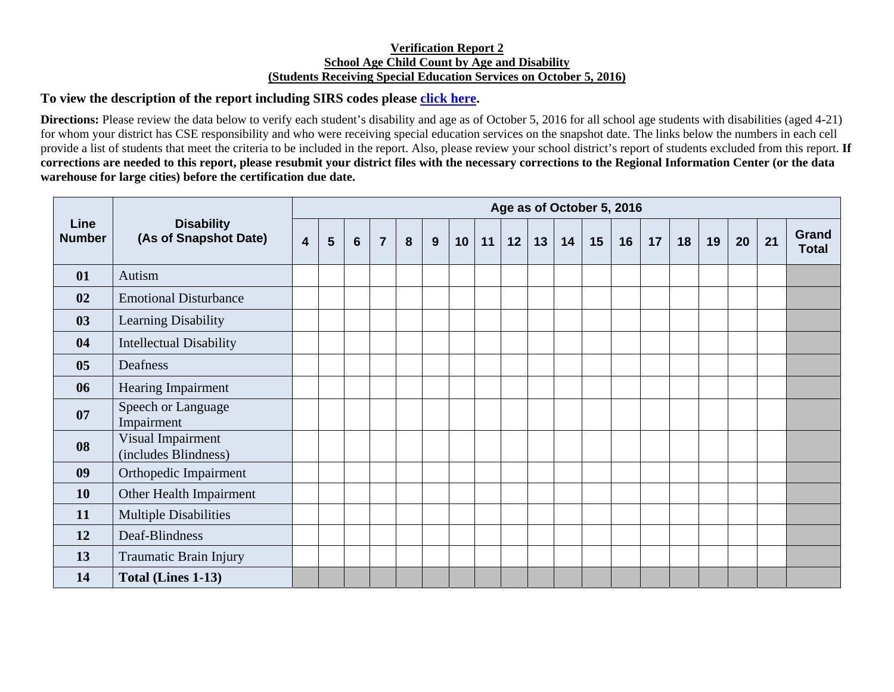## **Verification Report 2 School Age Child Count by Age and Disability (Students Receiving Special Education Services on October 5, 2016)**

## **To view the description of the report including SIRS codes please click here.**

**Directions:** Please review the data below to verify each student's disability and age as of October 5, 2016 for all school age students with disabilities (aged 4-21) for whom your district has CSE responsibility and who were receiving special education services on the snapshot date. The links below the numbers in each cell provide a list of students that meet the criteria to be included in the report. Also, please review your school district's report of students excluded from this report. **If corrections are needed to this report, please resubmit your district files with the necessary corrections to the Regional Information Center (or the data warehouse for large cities) before the certification due date.** 

| Line<br><b>Number</b> | <b>Disability</b><br>(As of Snapshot Date) | Age as of October 5, 2016 |   |                |                |   |   |    |    |    |    |    |    |    |    |    |    |    |    |                       |
|-----------------------|--------------------------------------------|---------------------------|---|----------------|----------------|---|---|----|----|----|----|----|----|----|----|----|----|----|----|-----------------------|
|                       |                                            | $\overline{\mathbf{4}}$   | 5 | $6\phantom{1}$ | $\overline{7}$ | 8 | 9 | 10 | 11 | 12 | 13 | 14 | 15 | 16 | 17 | 18 | 19 | 20 | 21 | Grand<br><b>Total</b> |
| 01                    | Autism                                     |                           |   |                |                |   |   |    |    |    |    |    |    |    |    |    |    |    |    |                       |
| 02                    | <b>Emotional Disturbance</b>               |                           |   |                |                |   |   |    |    |    |    |    |    |    |    |    |    |    |    |                       |
| 03                    | Learning Disability                        |                           |   |                |                |   |   |    |    |    |    |    |    |    |    |    |    |    |    |                       |
| 04                    | <b>Intellectual Disability</b>             |                           |   |                |                |   |   |    |    |    |    |    |    |    |    |    |    |    |    |                       |
| 05                    | Deafness                                   |                           |   |                |                |   |   |    |    |    |    |    |    |    |    |    |    |    |    |                       |
| 06                    | Hearing Impairment                         |                           |   |                |                |   |   |    |    |    |    |    |    |    |    |    |    |    |    |                       |
| 07                    | Speech or Language<br>Impairment           |                           |   |                |                |   |   |    |    |    |    |    |    |    |    |    |    |    |    |                       |
| 08                    | Visual Impairment<br>(includes Blindness)  |                           |   |                |                |   |   |    |    |    |    |    |    |    |    |    |    |    |    |                       |
| 09                    | Orthopedic Impairment                      |                           |   |                |                |   |   |    |    |    |    |    |    |    |    |    |    |    |    |                       |
| <b>10</b>             | Other Health Impairment                    |                           |   |                |                |   |   |    |    |    |    |    |    |    |    |    |    |    |    |                       |
| 11                    | <b>Multiple Disabilities</b>               |                           |   |                |                |   |   |    |    |    |    |    |    |    |    |    |    |    |    |                       |
| 12                    | Deaf-Blindness                             |                           |   |                |                |   |   |    |    |    |    |    |    |    |    |    |    |    |    |                       |
| 13                    | Traumatic Brain Injury                     |                           |   |                |                |   |   |    |    |    |    |    |    |    |    |    |    |    |    |                       |
| 14                    | Total (Lines 1-13)                         |                           |   |                |                |   |   |    |    |    |    |    |    |    |    |    |    |    |    |                       |